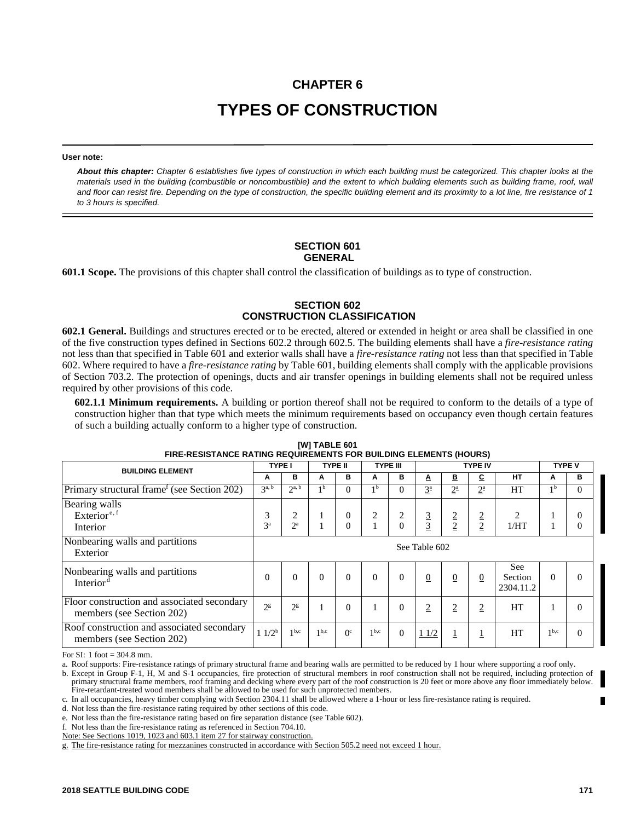# **CHAPTER 6 TYPES OF CONSTRUCTION**

#### **User note:**

*About this chapter: Chapter 6 establishes five types of construction in which each building must be categorized. This chapter looks at the materials used in the building (combustible or noncombustible) and the extent to which building elements such as building frame, roof, wall and floor can resist fire. Depending on the type of construction, the specific building element and its proximity to a lot line, fire resistance of 1 to 3 hours is specified.*

#### **SECTION 601 GENERAL**

**601.1 Scope.** The provisions of this chapter shall control the classification of buildings as to type of construction.

# **SECTION 602 CONSTRUCTION CLASSIFICATION**

**602.1 General.** Buildings and structures erected or to be erected, altered or extended in height or area shall be classified in one of the five construction types defined in Sections 602.2 through 602.5. The building elements shall have a *fire-resistance rating* not less than that specified in Table 601 and exterior walls shall have a *fire-resistance rating* not less than that specified in Table 602. Where required to have a *fire-resistance rating* by Table 601, building elements shall comply with the applicable provisions of Section 703.2. The protection of openings, ducts and air transfer openings in building elements shall not be required unless required by other provisions of this code.

**602.1.1 Minimum requirements.** A building or portion thereof shall not be required to conform to the details of a type of construction higher than that type which meets the minimum requirements based on occupancy even though certain features of such a building actually conform to a higher type of construction.

| <b>BUILDING ELEMENT</b>                                                  |                     | <b>TYPE I</b>         |                  | <b>TYPE II</b>             |                  | <b>TYPE III</b> |                     | <b>TYPE IV</b>      |                                  |                             | <b>TYPE V</b>    |                                  |
|--------------------------------------------------------------------------|---------------------|-----------------------|------------------|----------------------------|------------------|-----------------|---------------------|---------------------|----------------------------------|-----------------------------|------------------|----------------------------------|
|                                                                          |                     | в                     | A                | в                          | A                | в               | A                   | В                   | c                                | <b>HT</b>                   | A                | в                                |
| Primary structural frame <sup>f</sup> (see Section 202)                  | 3 <sup>a, b</sup>   | $2^{a, b}$            | 1 <sup>b</sup>   | $\theta$                   | 1 <sub>b</sub>   | $\theta$        | $3^{\underline{a}}$ | $2^{\underline{a}}$ | $2^{\underline{a}}$              | HT                          | 1 <sup>b</sup>   | $\Omega$                         |
| Bearing walls<br>Exterior <sup>e, f</sup><br>Interior                    | 3<br>3 <sup>a</sup> | 2<br>$2^{\mathrm{a}}$ | 1                | $\overline{0}$<br>$\theta$ | 2                | 2<br>$\Omega$   | 3<br>$\overline{3}$ | 2<br>$\overline{2}$ | $\overline{2}$<br>$\overline{2}$ | $\overline{2}$<br>1/HT      |                  | $\overline{0}$<br>$\overline{0}$ |
| Nonbearing walls and partitions<br>Exterior                              | See Table 602       |                       |                  |                            |                  |                 |                     |                     |                                  |                             |                  |                                  |
| Nonbearing walls and partitions<br>Interior <sup>d</sup>                 | $\Omega$            | $\Omega$              | $\theta$         | $\Omega$                   | $\Omega$         | $\Omega$        | $\overline{0}$      | $\overline{0}$      | $\overline{0}$                   | See<br>Section<br>2304.11.2 | $\Omega$         | $\Omega$                         |
| Floor construction and associated secondary<br>members (see Section 202) | 2 <sup>g</sup>      | $2^{\rm g}$           | 1                | $\theta$                   |                  | $\theta$        | $\overline{2}$      | $\overline{2}$      | $\overline{2}$                   | HT                          | $\mathbf{1}$     | $\Omega$                         |
| Roof construction and associated secondary<br>members (see Section 202)  | $11/2^b$            | 1 <sup>b,c</sup>      | 1 <sup>b,c</sup> | 0 <sup>c</sup>             | 1 <sup>b,c</sup> | $\overline{0}$  | 11/2                |                     |                                  | HT                          | 1 <sup>b,c</sup> | $\theta$                         |

| [W] TABLE 601                                                     |  |
|-------------------------------------------------------------------|--|
|                                                                   |  |
| FIRE-RESISTANCE RATING REQUIREMENTS FOR BUILDING ELEMENTS (HOURS) |  |
|                                                                   |  |

For SI: 1 foot  $= 304.8$  mm.

a. Roof supports: Fire-resistance ratings of primary structural frame and bearing walls are permitted to be reduced by 1 hour where supporting a roof only.

b. Except in Group F-1, H, M and S-1 occupancies, fire protection of structural members in roof construction shall not be required, including protection of primary structural frame members, roof framing and decking where every part of the roof construction is 20 feet or more above any floor immediately below. Fire-retardant-treated wood members shall be allowed to be used for such unprotected members.

c. In all occupancies, heavy timber complying with Section 2304.11 shall be allowed where a 1-hour or less fire-resistance rating is required.

d. Not less than the fire-resistance rating required by other sections of this code.

e. Not less than the fire-resistance rating based on fire separation distance (see Table 602).

f. Not less than the fire-resistance rating as referenced in Section 704.10.

Note: See Sections 1019, 1023 and 603.1 item 27 for stairway construction.

g. The fire-resistance rating for mezzanines constructed in accordance with Section 505.2 need not exceed 1 hour.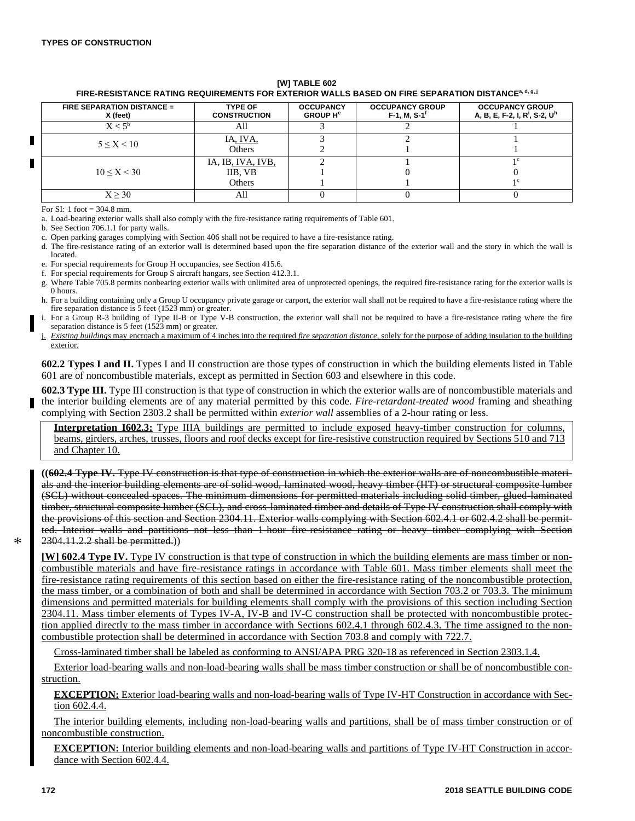#### **[W] TABLE 602 FIRE-RESISTANCE RATING REQUIREMENTS FOR EXTERIOR WALLS BASED ON FIRE SEPARATION DISTANCEa, d, g, j**

| <b>FIRE SEPARATION DISTANCE =</b><br>X (feet) | <b>TYPE OF</b><br><b>CONSTRUCTION</b> | <b>OCCUPANCY</b><br><b>GROUP H<sup>e</sup></b> | <b>OCCUPANCY GROUP</b><br>$F-1$ , M, S-1 <sup>t</sup> | <b>OCCUPANCY GROUP</b><br>A, B, E, F-2, I, R <sup>i</sup> , S-2, U <sup>h</sup> |
|-----------------------------------------------|---------------------------------------|------------------------------------------------|-------------------------------------------------------|---------------------------------------------------------------------------------|
| $\rm X < 5^b$                                 | AII                                   |                                                |                                                       |                                                                                 |
| 5 < X < 10                                    | IA, IVA,                              |                                                |                                                       |                                                                                 |
|                                               | Others                                |                                                |                                                       |                                                                                 |
|                                               | IA, IB, IVA, IVB,                     |                                                |                                                       |                                                                                 |
| 10 < X < 30                                   | IIB, VB                               |                                                |                                                       |                                                                                 |
|                                               | <b>Others</b>                         |                                                |                                                       |                                                                                 |
| X > 30                                        | Aľ                                    |                                                |                                                       |                                                                                 |

For SI: 1 foot  $= 304.8$  mm.

a. Load-bearing exterior walls shall also comply with the fire-resistance rating requirements of Table 601.

b. See Section 706.1.1 for party walls.

c. Open parking garages complying with Section 406 shall not be required to have a fire-resistance rating.

d. The fire-resistance rating of an exterior wall is determined based upon the fire separation distance of the exterior wall and the story in which the wall is located.

e. For special requirements for Group H occupancies, see Section 415.6.

f. For special requirements for Group S aircraft hangars, see Section 412.3.1.

g. Where Table 705.8 permits nonbearing exterior walls with unlimited area of unprotected openings, the required fire-resistance rating for the exterior walls is 0 hours.

h. For a building containing only a Group U occupancy private garage or carport, the exterior wall shall not be required to have a fire-resistance rating where the fire separation distance is 5 feet (1523 mm) or greater.

i. For a Group R-3 building of Type II-B or Type V-B construction, the exterior wall shall not be required to have a fire-resistance rating where the fire separation distance is 5 feet (1523 mm) or greater.

j. *Existing buildings* may encroach a maximum of 4 inches into the required *fire separation distance*, solely for the purpose of adding insulation to the building exterior.

**602.2 Types I and II.** Types I and II construction are those types of construction in which the building elements listed in Table 601 are of noncombustible materials, except as permitted in Section 603 and elsewhere in this code.

**602.3 Type III.** Type III construction is that type of construction in which the exterior walls are of noncombustible materials and the interior building elements are of any material permitted by this code. *Fire-retardant-treated wood* framing and sheathing complying with Section 2303.2 shall be permitted within *exterior wall* assemblies of a 2-hour rating or less.

**Interpretation I602.3:** Type IIIA buildings are permitted to include exposed heavy-timber construction for columns, beams, girders, arches, trusses, floors and roof decks except for fire-resistive construction required by Sections 510 and 713 and Chapter 10.

**((602.4 Type IV.** Type IV construction is that type of construction in which the exterior walls are of noncombustible materials and the interior building elements are of solid wood, laminated wood, heavy timber (HT) or structural composite lumber (SCL) without concealed spaces. The minimum dimensions for permitted materials including solid timber, glued-laminated timber, structural composite lumber (SCL), and cross-laminated timber and details of Type IV construction shall comply with the provisions of this section and Section 2304.11. Exterior walls complying with Section 602.4.1 or 602.4.2 shall be permitted. Interior walls and partitions not less than 1-hour fire-resistance rating or heavy timber complying with Section 2304.11.2.2 shall be permitted.))

**[W] 602.4 Type IV.** Type IV construction is that type of construction in which the building elements are mass timber or noncombustible materials and have fire-resistance ratings in accordance with Table 601. Mass timber elements shall meet the fire-resistance rating requirements of this section based on either the fire-resistance rating of the noncombustible protection, the mass timber, or a combination of both and shall be determined in accordance with Section 703.2 or 703.3. The minimum dimensions and permitted materials for building elements shall comply with the provisions of this section including Section 2304.11. Mass timber elements of Types IV-A, IV-B and IV-C construction shall be protected with noncombustible protection applied directly to the mass timber in accordance with Sections 602.4.1 through 602.4.3. The time assigned to the noncombustible protection shall be determined in accordance with Section 703.8 and comply with 722.7.

Cross-laminated timber shall be labeled as conforming to ANSI/APA PRG 320-18 as referenced in Section 2303.1.4.

Exterior load-bearing walls and non-load-bearing walls shall be mass timber construction or shall be of noncombustible construction.

**EXCEPTION:** Exterior load-bearing walls and non-load-bearing walls of Type IV-HT Construction in accordance with Section 602.4.4.

The interior building elements, including non-load-bearing walls and partitions, shall be of mass timber construction or of noncombustible construction.

**EXCEPTION:** Interior building elements and non-load-bearing walls and partitions of Type IV-HT Construction in accordance with Section 602.4.4.

\*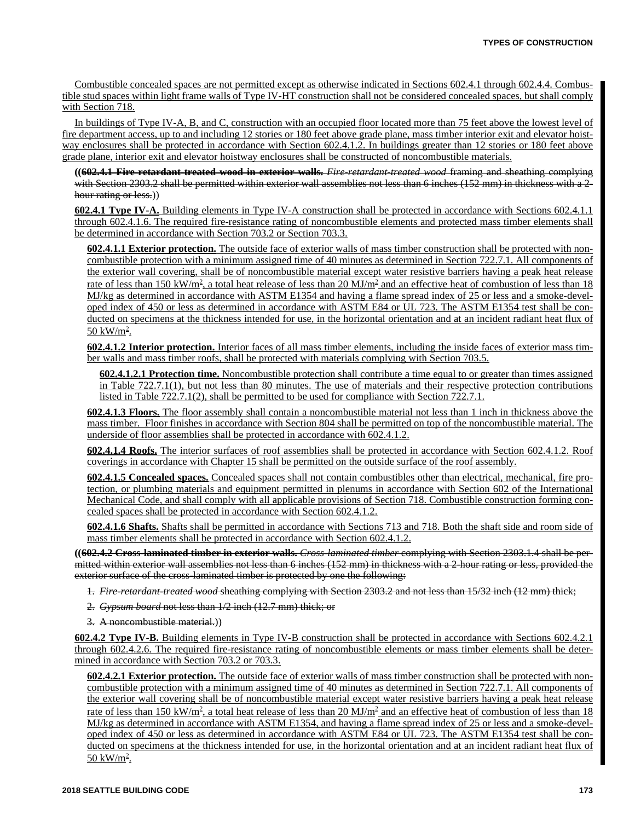Combustible concealed spaces are not permitted except as otherwise indicated in Sections 602.4.1 through 602.4.4. Combustible stud spaces within light frame walls of Type IV-HT construction shall not be considered concealed spaces, but shall comply with Section 718.

In buildings of Type IV-A, B, and C, construction with an occupied floor located more than 75 feet above the lowest level of fire department access, up to and including 12 stories or 180 feet above grade plane, mass timber interior exit and elevator hoistway enclosures shall be protected in accordance with Section 602.4.1.2. In buildings greater than 12 stories or 180 feet above grade plane, interior exit and elevator hoistway enclosures shall be constructed of noncombustible materials.

**((602.4.1 Fire-retardant-treated wood in exterior walls.** *Fire-retardant-treated wood* framing and sheathing complying with Section 2303.2 shall be permitted within exterior wall assemblies not less than 6 inches (152 mm) in thickness with a 2hour rating or less.)

**602.4.1 Type IV-A.** Building elements in Type IV-A construction shall be protected in accordance with Sections 602.4.1.1 through 602.4.1.6. The required fire-resistance rating of noncombustible elements and protected mass timber elements shall be determined in accordance with Section 703.2 or Section 703.3.

**602.4.1.1 Exterior protection.** The outside face of exterior walls of mass timber construction shall be protected with noncombustible protection with a minimum assigned time of 40 minutes as determined in Section 722.7.1. All components of the exterior wall covering, shall be of noncombustible material except water resistive barriers having a peak heat release rate of less than 150 kW/m<sup>2</sup>, a total heat release of less than 20 MJ/m<sup>2</sup> and an effective heat of combustion of less than 18 MJ/kg as determined in accordance with ASTM E1354 and having a flame spread index of 25 or less and a smoke-developed index of 450 or less as determined in accordance with ASTM E84 or UL 723. The ASTM E1354 test shall be conducted on specimens at the thickness intended for use, in the horizontal orientation and at an incident radiant heat flux of  $50 \text{ kW/m}^2$ .

**602.4.1.2 Interior protection.** Interior faces of all mass timber elements, including the inside faces of exterior mass timber walls and mass timber roofs, shall be protected with materials complying with Section 703.5.

**602.4.1.2.1 Protection time.** Noncombustible protection shall contribute a time equal to or greater than times assigned in Table 722.7.1(1), but not less than 80 minutes. The use of materials and their respective protection contributions listed in Table 722.7.1(2), shall be permitted to be used for compliance with Section 722.7.1.

**602.4.1.3 Floors.** The floor assembly shall contain a noncombustible material not less than 1 inch in thickness above the mass timber. Floor finishes in accordance with Section 804 shall be permitted on top of the noncombustible material. The underside of floor assemblies shall be protected in accordance with 602.4.1.2.

**602.4.1.4 Roofs.** The interior surfaces of roof assemblies shall be protected in accordance with Section 602.4.1.2. Roof coverings in accordance with Chapter 15 shall be permitted on the outside surface of the roof assembly.

**602.4.1.5 Concealed spaces.** Concealed spaces shall not contain combustibles other than electrical, mechanical, fire protection, or plumbing materials and equipment permitted in plenums in accordance with Section 602 of the International Mechanical Code, and shall comply with all applicable provisions of Section 718. Combustible construction forming concealed spaces shall be protected in accordance with Section 602.4.1.2.

**602.4.1.6 Shafts.** Shafts shall be permitted in accordance with Sections 713 and 718. Both the shaft side and room side of mass timber elements shall be protected in accordance with Section 602.4.1.2.

**((602.4.2 Cross-laminated timber in exterior walls.** *Cross-laminated timber* complying with Section 2303.1.4 shall be permitted within exterior wall assemblies not less than 6 inches (152 mm) in thickness with a 2-hour rating or less, provided the exterior surface of the cross-laminated timber is protected by one the following:

1. *Fire-retardant-treated wood* sheathing complying with Section 2303.2 and not less than 15/32 inch (12 mm) thick;

- 2. *Gypsum board* not less than 1/2 inch (12.7 mm) thick; or
- 3. A noncombustible material.))

**602.4.2 Type IV-B.** Building elements in Type IV-B construction shall be protected in accordance with Sections 602.4.2.1 through 602.4.2.6. The required fire-resistance rating of noncombustible elements or mass timber elements shall be determined in accordance with Section 703.2 or 703.3.

**602.4.2.1 Exterior protection.** The outside face of exterior walls of mass timber construction shall be protected with noncombustible protection with a minimum assigned time of 40 minutes as determined in Section 722.7.1. All components of the exterior wall covering shall be of noncombustible material except water resistive barriers having a peak heat release rate of less than 150 kW/m<sup>2</sup>, a total heat release of less than 20 MJ/m<sup>2</sup> and an effective heat of combustion of less than 18 MJ/kg as determined in accordance with ASTM E1354, and having a flame spread index of 25 or less and a smoke-developed index of 450 or less as determined in accordance with ASTM E84 or UL 723. The ASTM E1354 test shall be conducted on specimens at the thickness intended for use, in the horizontal orientation and at an incident radiant heat flux of <u>50 kW/m<sup>2</sup>.</u>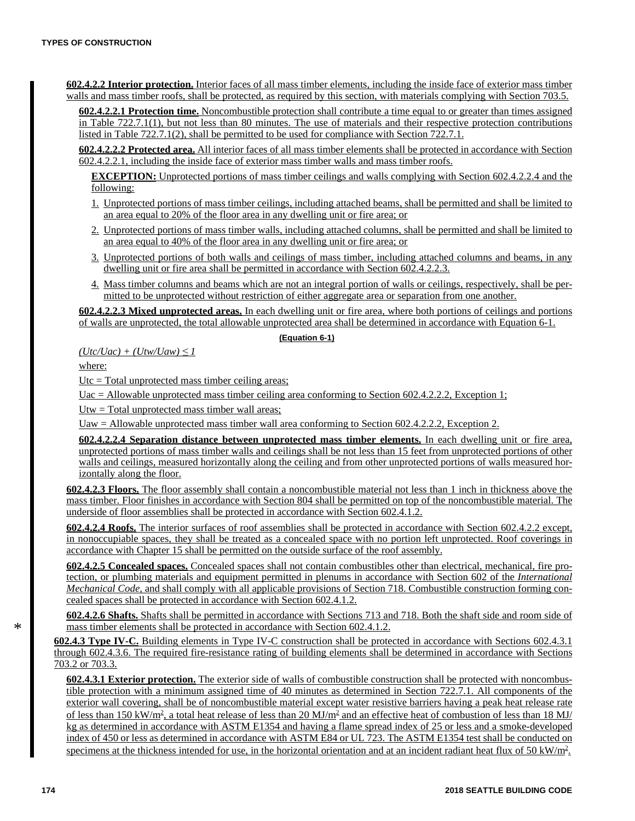**602.4.2.2 Interior protection.** Interior faces of all mass timber elements, including the inside face of exterior mass timber walls and mass timber roofs, shall be protected, as required by this section, with materials complying with Section 703.5.

**602.4.2.2.1 Protection time.** Noncombustible protection shall contribute a time equal to or greater than times assigned in Table 722.7.1(1), but not less than 80 minutes. The use of materials and their respective protection contributions listed in Table 722.7.1(2), shall be permitted to be used for compliance with Section 722.7.1.

**602.4.2.2.2 Protected area.** All interior faces of all mass timber elements shall be protected in accordance with Section 602.4.2.2.1, including the inside face of exterior mass timber walls and mass timber roofs.

**EXCEPTION:** Unprotected portions of mass timber ceilings and walls complying with Section 602.4.2.2.4 and the following:

- 1. Unprotected portions of mass timber ceilings, including attached beams, shall be permitted and shall be limited to an area equal to 20% of the floor area in any dwelling unit or fire area; or
- 2. Unprotected portions of mass timber walls, including attached columns, shall be permitted and shall be limited to an area equal to 40% of the floor area in any dwelling unit or fire area; or
- 3. Unprotected portions of both walls and ceilings of mass timber, including attached columns and beams, in any dwelling unit or fire area shall be permitted in accordance with Section 602.4.2.2.3.
- 4. Mass timber columns and beams which are not an integral portion of walls or ceilings, respectively, shall be permitted to be unprotected without restriction of either aggregate area or separation from one another.

**602.4.2.2.3 Mixed unprotected areas.** In each dwelling unit or fire area, where both portions of ceilings and portions of walls are unprotected, the total allowable unprotected area shall be determined in accordance with Equation 6-1.

### **(Equation 6-1)**

 $(Utc/Uac) + (Utw/Uaw) \leq 1$ 

where:

 $Utc = Total$  unprotected mass timber ceiling areas;

Uac  $=$  Allowable unprotected mass timber ceiling area conforming to Section 602.4.2.2.2, Exception 1;

Utw = Total unprotected mass timber wall areas;

Uaw = Allowable unprotected mass timber wall area conforming to Section 602.4.2.2.2, Exception 2.

**602.4.2.2.4 Separation distance between unprotected mass timber elements.** In each dwelling unit or fire area, unprotected portions of mass timber walls and ceilings shall be not less than 15 feet from unprotected portions of other walls and ceilings, measured horizontally along the ceiling and from other unprotected portions of walls measured horizontally along the floor.

**602.4.2.3 Floors.** The floor assembly shall contain a noncombustible material not less than 1 inch in thickness above the mass timber. Floor finishes in accordance with Section 804 shall be permitted on top of the noncombustible material. The underside of floor assemblies shall be protected in accordance with Section 602.4.1.2.

**602.4.2.4 Roofs.** The interior surfaces of roof assemblies shall be protected in accordance with Section 602.4.2.2 except, in nonoccupiable spaces, they shall be treated as a concealed space with no portion left unprotected. Roof coverings in accordance with Chapter 15 shall be permitted on the outside surface of the roof assembly.

**602.4.2.5 Concealed spaces.** Concealed spaces shall not contain combustibles other than electrical, mechanical, fire protection, or plumbing materials and equipment permitted in plenums in accordance with Section 602 of the *International Mechanical Code,* and shall comply with all applicable provisions of Section 718. Combustible construction forming concealed spaces shall be protected in accordance with Section 602.4.1.2.

**602.4.2.6 Shafts.** Shafts shall be permitted in accordance with Sections 713 and 718. Both the shaft side and room side of mass timber elements shall be protected in accordance with Section 602.4.1.2.

**602.4.3 Type IV-C.** Building elements in Type IV-C construction shall be protected in accordance with Sections 602.4.3.1 through 602.4.3.6. The required fire-resistance rating of building elements shall be determined in accordance with Sections 703.2 or 703.3.

**602.4.3.1 Exterior protection.** The exterior side of walls of combustible construction shall be protected with noncombustible protection with a minimum assigned time of 40 minutes as determined in Section 722.7.1. All components of the exterior wall covering, shall be of noncombustible material except water resistive barriers having a peak heat release rate of less than 150 kW/m<sup>2</sup>, a total heat release of less than 20 MJ/m<sup>2</sup> and an effective heat of combustion of less than 18 MJ/ kg as determined in accordance with ASTM E1354 and having a flame spread index of 25 or less and a smoke-developed index of 450 or less as determined in accordance with ASTM E84 or UL 723. The ASTM E1354 test shall be conducted on specimens at the thickness intended for use, in the horizontal orientation and at an incident radiant heat flux of  $50 \text{ kW/m}^2$ .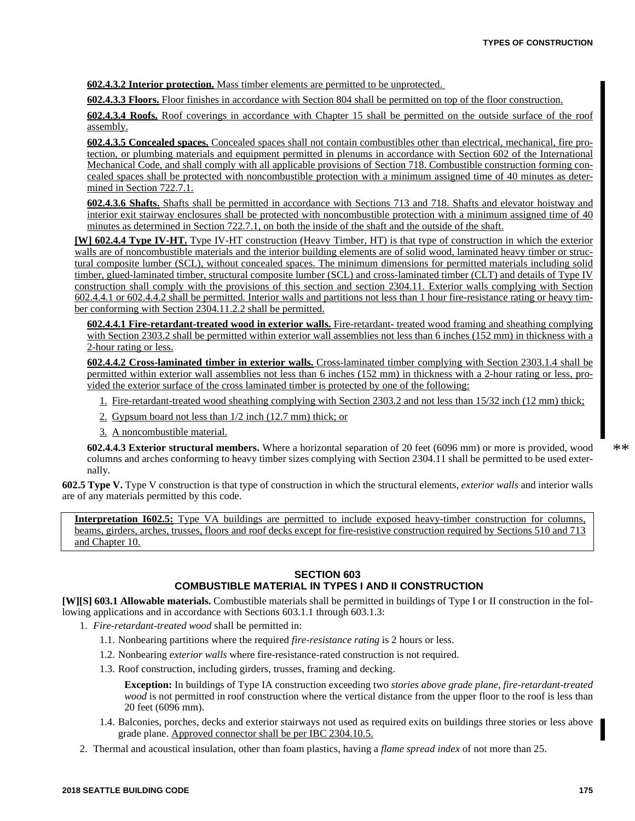**602.4.3.2 Interior protection.** Mass timber elements are permitted to be unprotected.

**602.4.3.3 Floors.** Floor finishes in accordance with Section 804 shall be permitted on top of the floor construction.

**602.4.3.4 Roofs.** Roof coverings in accordance with Chapter 15 shall be permitted on the outside surface of the roof assembly.

**602.4.3.5 Concealed spaces.** Concealed spaces shall not contain combustibles other than electrical, mechanical, fire protection, or plumbing materials and equipment permitted in plenums in accordance with Section 602 of the International Mechanical Code, and shall comply with all applicable provisions of Section 718. Combustible construction forming concealed spaces shall be protected with noncombustible protection with a minimum assigned time of 40 minutes as determined in Section 722.7.1.

**602.4.3.6 Shafts.** Shafts shall be permitted in accordance with Sections 713 and 718. Shafts and elevator hoistway and interior exit stairway enclosures shall be protected with noncombustible protection with a minimum assigned time of 40 minutes as determined in Section 722.7.1, on both the inside of the shaft and the outside of the shaft.

**[W] 602.4.4 Type IV-HT.** Type IV-HT construction (Heavy Timber, HT) is that type of construction in which the exterior walls are of noncombustible materials and the interior building elements are of solid wood, laminated heavy timber or structural composite lumber (SCL), without concealed spaces. The minimum dimensions for permitted materials including solid timber, glued-laminated timber, structural composite lumber (SCL) and cross-laminated timber (CLT) and details of Type IV construction shall comply with the provisions of this section and section 2304.11. Exterior walls complying with Section 602.4.4.1 or 602.4.4.2 shall be permitted. Interior walls and partitions not less than 1 hour fire-resistance rating or heavy timber conforming with Section 2304.11.2.2 shall be permitted.

**602.4.4.1 Fire-retardant-treated wood in exterior walls.** Fire-retardant- treated wood framing and sheathing complying with Section 2303.2 shall be permitted within exterior wall assemblies not less than 6 inches (152 mm) in thickness with a 2-hour rating or less.

**602.4.4.2 Cross-laminated timber in exterior walls.** Cross-laminated timber complying with Section 2303.1.4 shall be permitted within exterior wall assemblies not less than 6 inches (152 mm) in thickness with a 2-hour rating or less, provided the exterior surface of the cross laminated timber is protected by one of the following:

- 1. Fire-retardant-treated wood sheathing complying with Section 2303.2 and not less than 15/32 inch (12 mm) thick;
- 2. Gypsum board not less than 1/2 inch (12.7 mm) thick; or
- 3. A noncombustible material.

**602.4.4.3 Exterior structural members.** Where a horizontal separation of 20 feet (6096 mm) or more is provided, wood columns and arches conforming to heavy timber sizes complying with Section 2304.11 shall be permitted to be used externally.

**602.5 Type V.** Type V construction is that type of construction in which the structural elements, *exterior walls* and interior walls are of any materials permitted by this code.

**Interpretation I602.5:** Type VA buildings are permitted to include exposed heavy-timber construction for columns, beams, girders, arches, trusses, floors and roof decks except for fire-resistive construction required by Sections 510 and 713 and Chapter 10.

# **SECTION 603 COMBUSTIBLE MATERIAL IN TYPES I AND II CONSTRUCTION**

**[W][S] 603.1 Allowable materials.** Combustible materials shall be permitted in buildings of Type I or II construction in the following applications and in accordance with Sections 603.1.1 through 603.1.3:

- 1. *Fire-retardant-treated wood* shall be permitted in:
	- 1.1. Nonbearing partitions where the required *fire-resistance rating* is 2 hours or less.
	- 1.2. Nonbearing *exterior walls* where fire-resistance-rated construction is not required.
	- 1.3. Roof construction, including girders, trusses, framing and decking.

**Exception:** In buildings of Type IA construction exceeding two *stories above grade plane*, *fire-retardant-treated wood* is not permitted in roof construction where the vertical distance from the upper floor to the roof is less than 20 feet (6096 mm).

- 1.4. Balconies, porches, decks and exterior stairways not used as required exits on buildings three stories or less above grade plane. Approved connector shall be per IBC 2304.10.5.
- 2. Thermal and acoustical insulation, other than foam plastics, having a *flame spread index* of not more than 25.

\*\*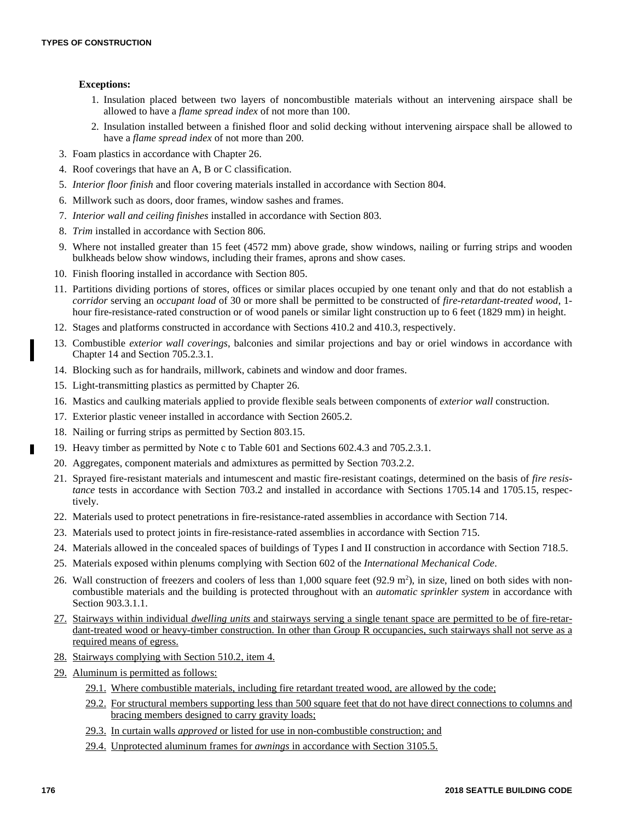# **Exceptions:**

- 1. Insulation placed between two layers of noncombustible materials without an intervening airspace shall be allowed to have a *flame spread index* of not more than 100.
- 2. Insulation installed between a finished floor and solid decking without intervening airspace shall be allowed to have a *flame spread index* of not more than 200.
- 3. Foam plastics in accordance with Chapter 26.
- 4. Roof coverings that have an A, B or C classification.
- 5. *Interior floor finish* and floor covering materials installed in accordance with Section 804.
- 6. Millwork such as doors, door frames, window sashes and frames.
- 7. *Interior wall and ceiling finishes* installed in accordance with Section 803.
- 8. *Trim* installed in accordance with Section 806.
- 9. Where not installed greater than 15 feet (4572 mm) above grade, show windows, nailing or furring strips and wooden bulkheads below show windows, including their frames, aprons and show cases.
- 10. Finish flooring installed in accordance with Section 805.
- 11. Partitions dividing portions of stores, offices or similar places occupied by one tenant only and that do not establish a *corridor* serving an *occupant load* of 30 or more shall be permitted to be constructed of *fire-retardant-treated wood*, 1 hour fire-resistance-rated construction or of wood panels or similar light construction up to 6 feet (1829 mm) in height.
- 12. Stages and platforms constructed in accordance with Sections 410.2 and 410.3, respectively.
- 13. Combustible *exterior wall coverings*, balconies and similar projections and bay or oriel windows in accordance with Chapter 14 and Section 705.2.3.1.
- 14. Blocking such as for handrails, millwork, cabinets and window and door frames.
- 15. Light-transmitting plastics as permitted by Chapter 26.
- 16. Mastics and caulking materials applied to provide flexible seals between components of *exterior wall* construction.
- 17. Exterior plastic veneer installed in accordance with Section 2605.2.
- 18. Nailing or furring strips as permitted by Section 803.15.
- 19. Heavy timber as permitted by Note c to Table 601 and Sections 602.4.3 and 705.2.3.1.
- 20. Aggregates, component materials and admixtures as permitted by Section 703.2.2.
- 21. Sprayed fire-resistant materials and intumescent and mastic fire-resistant coatings, determined on the basis of *fire resistance* tests in accordance with Section 703.2 and installed in accordance with Sections 1705.14 and 1705.15, respectively.
- 22. Materials used to protect penetrations in fire-resistance-rated assemblies in accordance with Section 714.
- 23. Materials used to protect joints in fire-resistance-rated assemblies in accordance with Section 715.
- 24. Materials allowed in the concealed spaces of buildings of Types I and II construction in accordance with Section 718.5.
- 25. Materials exposed within plenums complying with Section 602 of the *International Mechanical Code*.
- 26. Wall construction of freezers and coolers of less than 1,000 square feet (92.9 m<sup>2</sup>), in size, lined on both sides with noncombustible materials and the building is protected throughout with an *automatic sprinkler system* in accordance with Section 903.3.1.1.
- 27. Stairways within individual *dwelling units* and stairways serving a single tenant space are permitted to be of fire-retardant-treated wood or heavy-timber construction. In other than Group R occupancies, such stairways shall not serve as a required means of egress.
- 28. Stairways complying with Section 510.2, item 4.
- 29. Aluminum is permitted as follows:
	- 29.1. Where combustible materials, including fire retardant treated wood, are allowed by the code;
	- 29.2. For structural members supporting less than 500 square feet that do not have direct connections to columns and bracing members designed to carry gravity loads;
	- 29.3. In curtain walls *approved* or listed for use in non-combustible construction; and
	- 29.4. Unprotected aluminum frames for *awnings* in accordance with Section 3105.5.